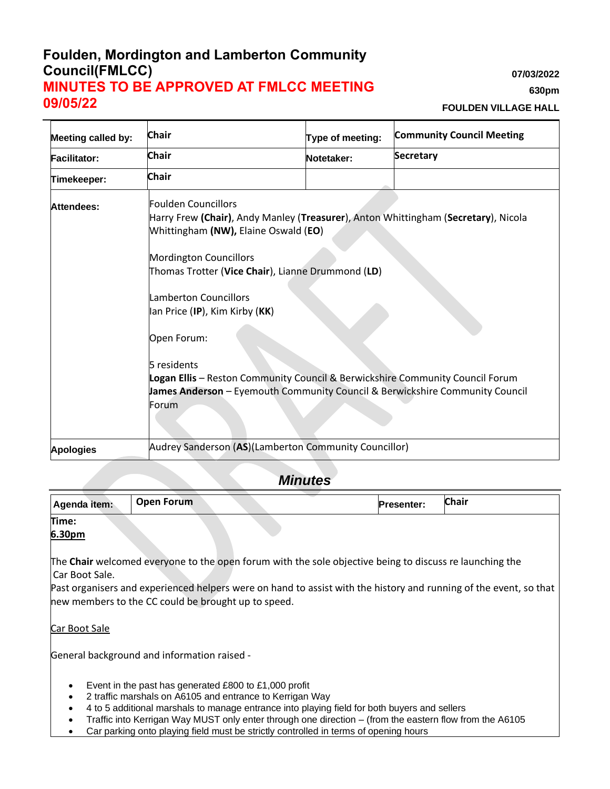## **Foulden, Mordington and Lamberton Community Council(FMLCC) MINUTES TO BE APPROVED AT FMLCC MEETING 09/05/22**

**07/03/2022**

**630pm**

**FOULDEN VILLAGE HALL**

| <b>Meeting called by:</b> | <b>Chair</b>                                                                                                                                                                                                                                                                                                                                                                                                                                                                                                      | Type of meeting: | <b>Community Council Meeting</b> |
|---------------------------|-------------------------------------------------------------------------------------------------------------------------------------------------------------------------------------------------------------------------------------------------------------------------------------------------------------------------------------------------------------------------------------------------------------------------------------------------------------------------------------------------------------------|------------------|----------------------------------|
| <b>Facilitator:</b>       | <b>Chair</b>                                                                                                                                                                                                                                                                                                                                                                                                                                                                                                      | Notetaker:       | <b>Secretary</b>                 |
| Timekeeper:               | <b>Chair</b>                                                                                                                                                                                                                                                                                                                                                                                                                                                                                                      |                  |                                  |
| Attendees:                | Foulden Councillors<br>Harry Frew (Chair), Andy Manley (Treasurer), Anton Whittingham (Secretary), Nicola<br>Whittingham (NW), Elaine Oswald (EO)<br><b>Mordington Councillors</b><br>Thomas Trotter (Vice Chair), Lianne Drummond (LD)<br><b>Lamberton Councillors</b><br>lan Price (IP), Kim Kirby (KK)<br>Open Forum:<br>5 residents<br>Logan Ellis - Reston Community Council & Berwickshire Community Council Forum<br>James Anderson - Eyemouth Community Council & Berwickshire Community Council<br>Forum |                  |                                  |
| <b>Apologies</b>          | Audrey Sanderson (AS)(Lamberton Community Councillor)                                                                                                                                                                                                                                                                                                                                                                                                                                                             |                  |                                  |

# *Minutes*

| Agenda item:    | <b>Open Forum</b> | <b>Presenter:</b> | <b>Chair</b> |
|-----------------|-------------------|-------------------|--------------|
| Time:<br>6.30pm |                   |                   |              |

The **Chair** welcomed everyone to the open forum with the sole objective being to discuss re launching the Car Boot Sale.

Past organisers and experienced helpers were on hand to assist with the history and running of the event, so that new members to the CC could be brought up to speed.

Car Boot Sale

General background and information raised -

- Event in the past has generated £800 to £1,000 profit
- 2 traffic marshals on A6105 and entrance to Kerrigan Way
- 4 to 5 additional marshals to manage entrance into playing field for both buyers and sellers
- Traffic into Kerrigan Way MUST only enter through one direction (from the eastern flow from the A6105
- Car parking onto playing field must be strictly controlled in terms of opening hours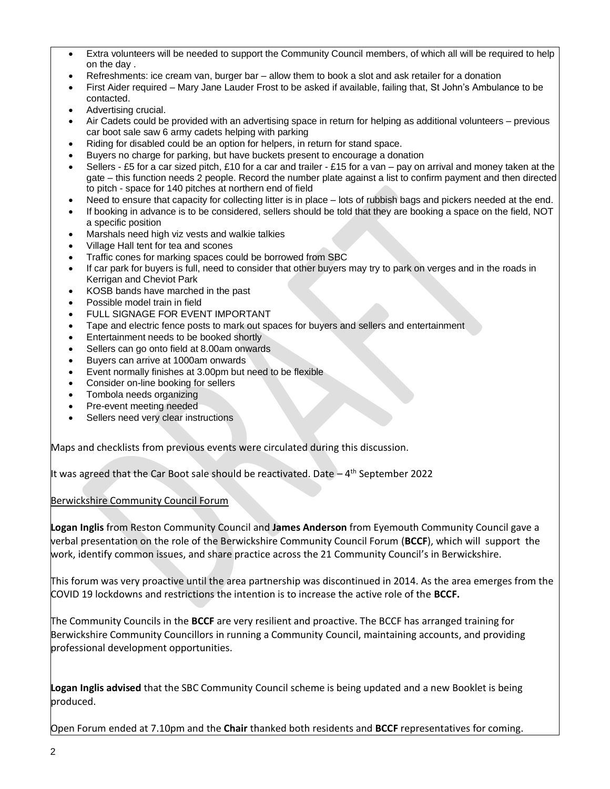- Extra volunteers will be needed to support the Community Council members, of which all will be required to help on the day .
- Refreshments: ice cream van, burger bar allow them to book a slot and ask retailer for a donation
- First Aider required Mary Jane Lauder Frost to be asked if available, failing that, St John's Ambulance to be contacted.
- Advertising crucial.
- Air Cadets could be provided with an advertising space in return for helping as additional volunteers previous car boot sale saw 6 army cadets helping with parking
- Riding for disabled could be an option for helpers, in return for stand space.
- Buyers no charge for parking, but have buckets present to encourage a donation
- Sellers £5 for a car sized pitch, £10 for a car and trailer £15 for a van pay on arrival and money taken at the gate – this function needs 2 people. Record the number plate against a list to confirm payment and then directed to pitch - space for 140 pitches at northern end of field
- Need to ensure that capacity for collecting litter is in place lots of rubbish bags and pickers needed at the end.
- If booking in advance is to be considered, sellers should be told that they are booking a space on the field, NOT a specific position
- Marshals need high viz vests and walkie talkies
- Village Hall tent for tea and scones
- Traffic cones for marking spaces could be borrowed from SBC
- If car park for buyers is full, need to consider that other buyers may try to park on verges and in the roads in Kerrigan and Cheviot Park
- KOSB bands have marched in the past
- Possible model train in field
- FULL SIGNAGE FOR EVENT IMPORTANT
- Tape and electric fence posts to mark out spaces for buyers and sellers and entertainment
- Entertainment needs to be booked shortly
- Sellers can go onto field at 8.00am onwards
- Buyers can arrive at 1000am onwards
- Event normally finishes at 3.00pm but need to be flexible
- Consider on-line booking for sellers
- Tombola needs organizing
- Pre-event meeting needed
- Sellers need very clear instructions

Maps and checklists from previous events were circulated during this discussion.

It was agreed that the Car Boot sale should be reactivated. Date - 4<sup>th</sup> September 2022

#### Berwickshire Community Council Forum

**Logan Inglis** from Reston Community Council and **James Anderson** from Eyemouth Community Council gave a verbal presentation on the role of the Berwickshire Community Council Forum (**BCCF**), which will support the work, identify common issues, and share practice across the 21 Community Council's in Berwickshire.

This forum was very proactive until the area partnership was discontinued in 2014. As the area emerges from the COVID 19 lockdowns and restrictions the intention is to increase the active role of the **BCCF.** 

The Community Councils in the **BCCF** are very resilient and proactive. The BCCF has arranged training for Berwickshire Community Councillors in running a Community Council, maintaining accounts, and providing professional development opportunities.

**Logan Inglis advised** that the SBC Community Council scheme is being updated and a new Booklet is being produced.

Open Forum ended at 7.10pm and the **Chair** thanked both residents and **BCCF** representatives for coming.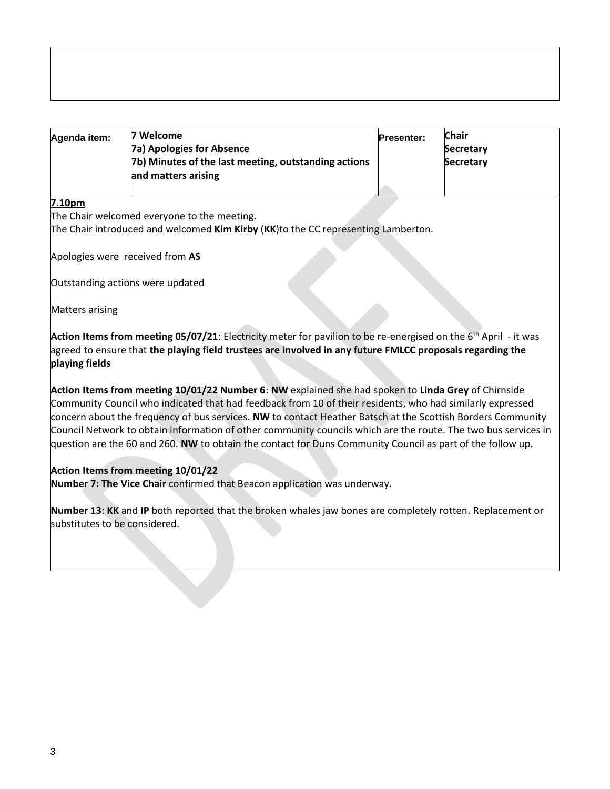| Agenda item: | 7 Welcome                                            | <b>Presenter:</b> | <b>Chair</b>     |
|--------------|------------------------------------------------------|-------------------|------------------|
|              | <b>7a) Apologies for Absence</b>                     |                   | <b>Secretary</b> |
|              | 7b) Minutes of the last meeting, outstanding actions |                   | <b>Secretary</b> |
|              | and matters arising                                  |                   |                  |
|              |                                                      |                   |                  |

#### **7.10pm**

The Chair welcomed everyone to the meeting.

The Chair introduced and welcomed **Kim Kirby** (**KK**)to the CC representing Lamberton.

Apologies were received from **AS**

Outstanding actions were updated

Matters arising

**Action Items from meeting 05/07/21**: Electricity meter for pavilion to be re-energised on the 6<sup>th</sup> April - it was agreed to ensure that **the playing field trustees are involved in any future FMLCC proposals regarding the playing fields**

**Action Items from meeting 10/01/22 Number 6**: **NW** explained she had spoken to **Linda Grey** of Chirnside Community Council who indicated that had feedback from 10 of their residents, who had similarly expressed concern about the frequency of bus services. **NW** to contact Heather Batsch at the Scottish Borders Community Council Network to obtain information of other community councils which are the route. The two bus services in question are the 60 and 260. **NW** to obtain the contact for Duns Community Council as part of the follow up.

## **Action Items from meeting 10/01/22**

**Number 7: The Vice Chair** confirmed that Beacon application was underway.

**Number 13**: **KK** and **IP** both reported that the broken whales jaw bones are completely rotten. Replacement or substitutes to be considered.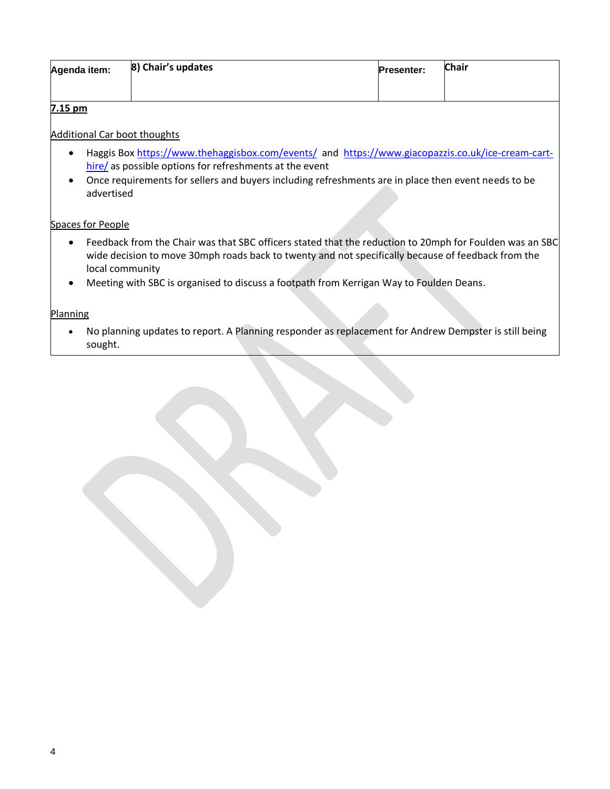| Agenda item: | 8) Chair's updates | <b>Presenter:</b> | <b>Chair</b> |
|--------------|--------------------|-------------------|--------------|
|              |                    |                   |              |

### **7.15 pm**

Additional Car boot thoughts

- Haggis Bo[x https://www.thehaggisbox.com/events/](https://www.thehaggisbox.com/events/) and [https://www.giacopazzis.co.uk/ice-cream-cart](https://www.giacopazzis.co.uk/ice-cream-cart-hire/)[hire/](https://www.giacopazzis.co.uk/ice-cream-cart-hire/) as possible options for refreshments at the event
- Once requirements for sellers and buyers including refreshments are in place then event needs to be advertised

## Spaces for People

- Feedback from the Chair was that SBC officers stated that the reduction to 20mph for Foulden was an SBC wide decision to move 30mph roads back to twenty and not specifically because of feedback from the local community
- Meeting with SBC is organised to discuss a footpath from Kerrigan Way to Foulden Deans.

### Planning

• No planning updates to report. A Planning responder as replacement for Andrew Dempster is still being sought.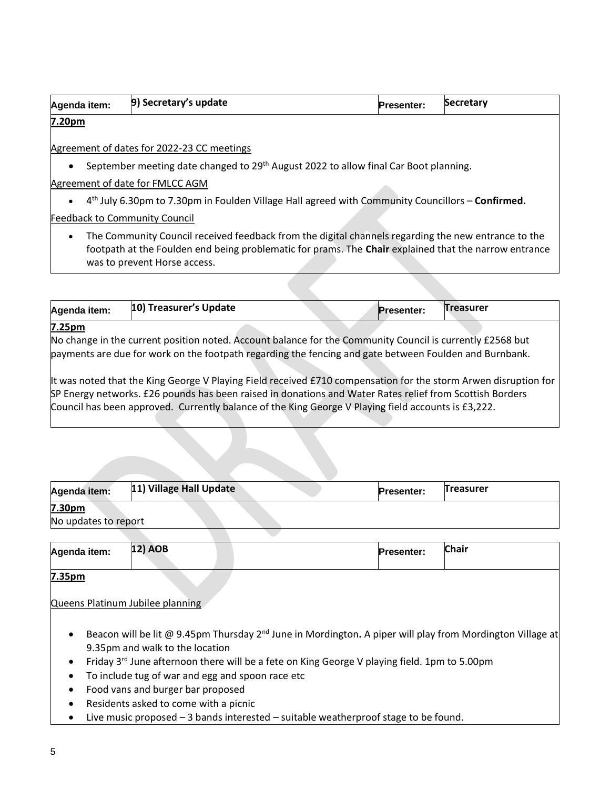| Agenda item: | 9) Secretary's update | <b>Presenter:</b> | <b>Secretary</b> |
|--------------|-----------------------|-------------------|------------------|
|              |                       |                   |                  |

**7.20pm**

Agreement of dates for 2022-23 CC meetings

• September meeting date changed to 29<sup>th</sup> August 2022 to allow final Car Boot planning.

Agreement of date for FMLCC AGM

• 4 th July 6.30pm to 7.30pm in Foulden Village Hall agreed with Community Councillors – **Confirmed.**

Feedback to Community Council

• The Community Council received feedback from the digital channels regarding the new entrance to the footpath at the Foulden end being problematic for prams. The **Chair** explained that the narrow entrance was to prevent Horse access.

| Agenda item: | 10) Treasurer's Update                                                                                    | <b>Presenter:</b> | <b>Treasurer</b> |
|--------------|-----------------------------------------------------------------------------------------------------------|-------------------|------------------|
| 7.25pm       |                                                                                                           |                   |                  |
|              | No change in the current position noted. Account balance for the Community Council is currently £2568 but |                   |                  |
|              | payments are due for work on the footpath regarding the fencing and gate between Foulden and Burnbank.    |                   |                  |

It was noted that the King George V Playing Field received £710 compensation for the storm Arwen disruption for SP Energy networks. £26 pounds has been raised in donations and Water Rates relief from Scottish Borders Council has been approved. Currently balance of the King George V Playing field accounts is £3,222.

| Agenda item:         | 11) Village Hall Update | <b>Presenter:</b> | <b>Treasurer</b> |
|----------------------|-------------------------|-------------------|------------------|
| 7.30pm               |                         |                   |                  |
| No updates to report |                         |                   |                  |

| Agenda item: | <b>12) AOB</b> |  | <b>Presenter:</b> | <b>Chair</b> |
|--------------|----------------|--|-------------------|--------------|
| 735nm        |                |  |                   |              |

**7.35pm**

Queens Platinum Jubilee planning

- Beacon will be lit @ 9.45pm Thursday 2nd June in Mordington**.** A piper will play from Mordington Village at 9.35pm and walk to the location
- Friday 3<sup>rd</sup> June afternoon there will be a fete on King George V playing field. 1pm to 5.00pm
- To include tug of war and egg and spoon race etc
- Food vans and burger bar proposed
- Residents asked to come with a picnic
- Live music proposed  $-3$  bands interested  $-$  suitable weatherproof stage to be found.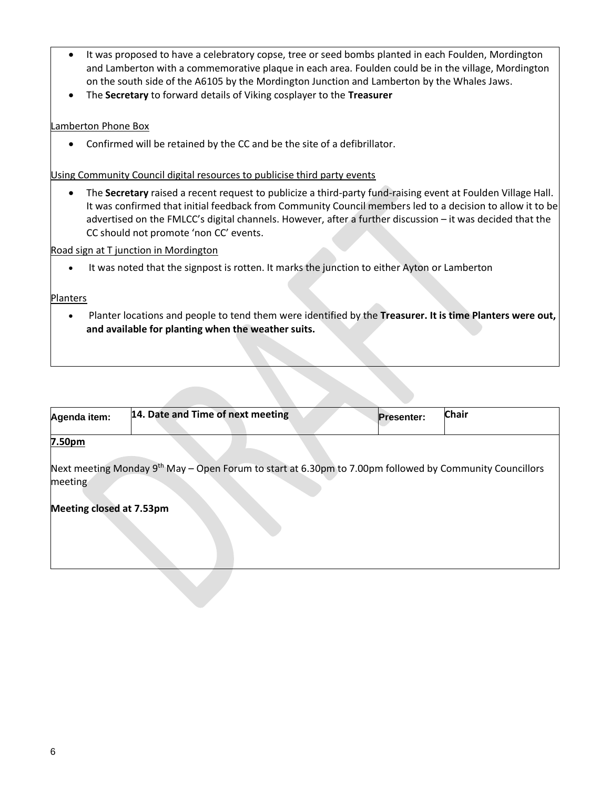- It was proposed to have a celebratory copse, tree or seed bombs planted in each Foulden, Mordington and Lamberton with a commemorative plaque in each area. Foulden could be in the village, Mordington on the south side of the A6105 by the Mordington Junction and Lamberton by the Whales Jaws.
- The **Secretary** to forward details of Viking cosplayer to the **Treasurer**

### Lamberton Phone Box

• Confirmed will be retained by the CC and be the site of a defibrillator.

#### Using Community Council digital resources to publicise third party events

• The **Secretary** raised a recent request to publicize a third-party fund-raising event at Foulden Village Hall. It was confirmed that initial feedback from Community Council members led to a decision to allow it to be advertised on the FMLCC's digital channels. However, after a further discussion – it was decided that the CC should not promote 'non CC' events.

#### Road sign at T junction in Mordington

• It was noted that the signpost is rotten. It marks the junction to either Ayton or Lamberton

#### Planters

• Planter locations and people to tend them were identified by the **Treasurer. It is time Planters were out, and available for planting when the weather suits.**

| Agenda item:             | 14. Date and Time of next meeting                                                                                   | <b>Presenter:</b> | <b>Chair</b> |
|--------------------------|---------------------------------------------------------------------------------------------------------------------|-------------------|--------------|
| 7.50 <sub>pm</sub>       |                                                                                                                     |                   |              |
| meeting                  | Next meeting Monday 9 <sup>th</sup> May – Open Forum to start at 6.30pm to 7.00pm followed by Community Councillors |                   |              |
| Meeting closed at 7.53pm |                                                                                                                     |                   |              |
|                          |                                                                                                                     |                   |              |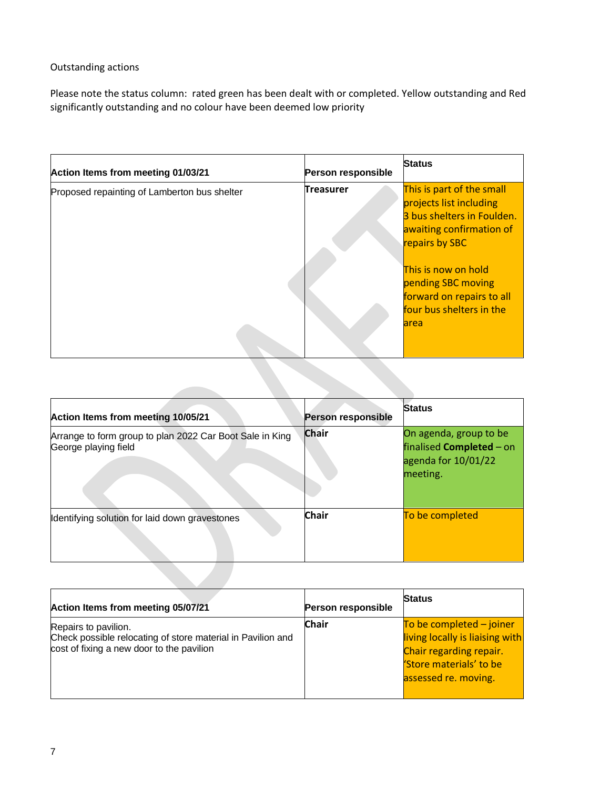## Outstanding actions

Please note the status column: rated green has been dealt with or completed. Yellow outstanding and Red significantly outstanding and no colour have been deemed low priority

| Action Items from meeting 01/03/21           | Person responsible | <b>Status</b>                                                                                                                                                                                                                                          |
|----------------------------------------------|--------------------|--------------------------------------------------------------------------------------------------------------------------------------------------------------------------------------------------------------------------------------------------------|
| Proposed repainting of Lamberton bus shelter | <b>Treasurer</b>   | This is part of the small<br>projects list including<br>3 bus shelters in Foulden.<br>awaiting confirmation of<br>repairs by SBC<br>This is now on hold<br>pending SBC moving<br>forward on repairs to all<br>four bus shelters in the<br><b>larea</b> |

| Action Items from meeting 10/05/21                                               | <b>Person responsible</b> | <b>Status</b>                                                                                |
|----------------------------------------------------------------------------------|---------------------------|----------------------------------------------------------------------------------------------|
| Arrange to form group to plan 2022 Car Boot Sale in King<br>George playing field | <b>Chair</b>              | On agenda, group to be<br>finalised <b>Completed</b> - on<br>agenda for 10/01/22<br>meeting. |
| Identifying solution for laid down gravestones                                   | <b>Chair</b>              | To be completed                                                                              |

| Action Items from meeting 05/07/21                                                                                               | Person responsible | <b>Status</b>                                                                                                                               |
|----------------------------------------------------------------------------------------------------------------------------------|--------------------|---------------------------------------------------------------------------------------------------------------------------------------------|
| Repairs to pavilion.<br>Check possible relocating of store material in Pavilion and<br>cost of fixing a new door to the pavilion | <b>Chair</b>       | To be completed $-$ joiner<br>living locally is liaising with<br>Chair regarding repair.<br>'Store materials' to be<br>assessed re. moving. |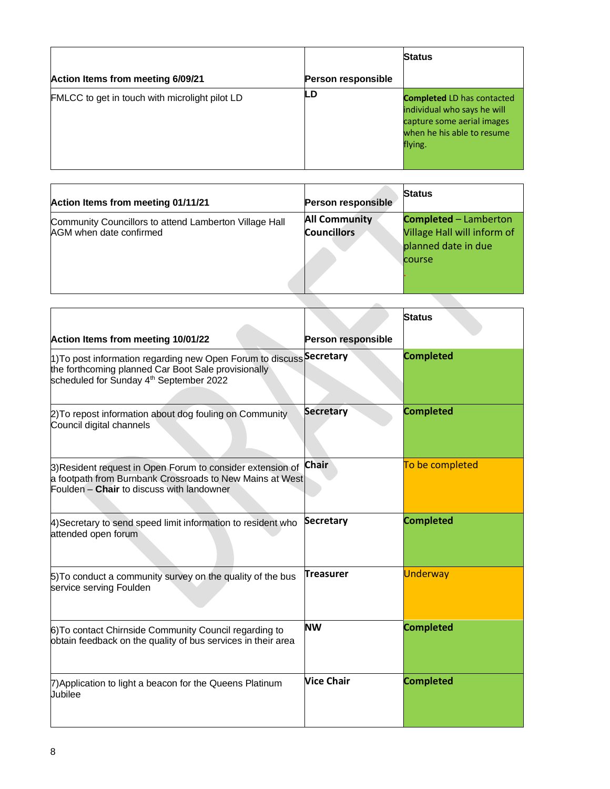|                                                |                           | <b>Status</b>                                                                                                                           |
|------------------------------------------------|---------------------------|-----------------------------------------------------------------------------------------------------------------------------------------|
| Action Items from meeting 6/09/21              | <b>Person responsible</b> |                                                                                                                                         |
| FMLCC to get in touch with microlight pilot LD | LD                        | <b>Completed LD has contacted</b><br>individual who says he will<br>capture some aerial images<br>when he his able to resume<br>flying. |

| Action Items from meeting 01/11/21                                                | <b>Person responsible</b>                  | <b>Status</b>                                                                                |
|-----------------------------------------------------------------------------------|--------------------------------------------|----------------------------------------------------------------------------------------------|
| Community Councillors to attend Lamberton Village Hall<br>AGM when date confirmed | <b>All Community</b><br><b>Councillors</b> | <b>Completed - Lamberton</b><br>Village Hall will inform of<br>planned date in due<br>course |
|                                                                                   |                                            |                                                                                              |

|                                                                                                                                                                                               |                    | <b>Status</b>    |
|-----------------------------------------------------------------------------------------------------------------------------------------------------------------------------------------------|--------------------|------------------|
| Action Items from meeting 10/01/22                                                                                                                                                            | Person responsible |                  |
| 1)To post information regarding new Open Forum to discuss <sup> Secretary</sup><br>the forthcoming planned Car Boot Sale provisionally<br>scheduled for Sunday 4 <sup>th</sup> September 2022 |                    | <b>Completed</b> |
| 2) To repost information about dog fouling on Community<br>Council digital channels                                                                                                           | <b>Secretary</b>   | <b>Completed</b> |
| 3) Resident request in Open Forum to consider extension of<br>a footpath from Burnbank Crossroads to New Mains at West<br>Foulden - Chair to discuss with landowner                           | <b>Chair</b>       | To be completed  |
| 4) Secretary to send speed limit information to resident who<br>attended open forum                                                                                                           | <b>Secretary</b>   | <b>Completed</b> |
| 5) To conduct a community survey on the quality of the bus<br>service serving Foulden                                                                                                         | <b>Treasurer</b>   | <b>Underway</b>  |
| 6) To contact Chirnside Community Council regarding to<br>obtain feedback on the quality of bus services in their area                                                                        | <b>NW</b>          | <b>Completed</b> |
| 7) Application to light a beacon for the Queens Platinum<br>Jubilee                                                                                                                           | <b>Vice Chair</b>  | <b>Completed</b> |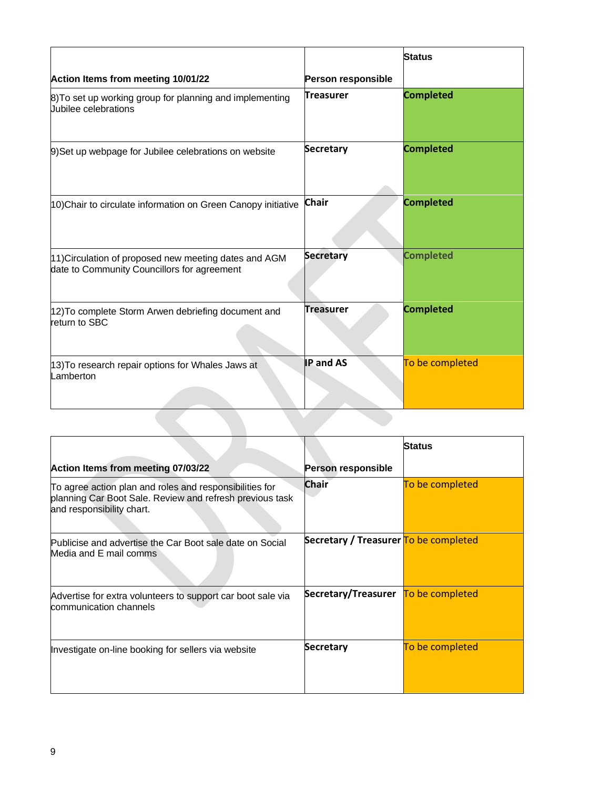|                                                                                                      |                    | <b>Status</b>    |
|------------------------------------------------------------------------------------------------------|--------------------|------------------|
| Action Items from meeting 10/01/22                                                                   | Person responsible |                  |
| 8) To set up working group for planning and implementing<br>Uubilee celebrations                     | <b>Treasurer</b>   | <b>Completed</b> |
| 9) Set up webpage for Jubilee celebrations on website                                                | <b>Secretary</b>   | <b>Completed</b> |
| 10) Chair to circulate information on Green Canopy initiative                                        | <b>Chair</b>       | <b>Completed</b> |
| 11) Circulation of proposed new meeting dates and AGM<br>date to Community Councillors for agreement | <b>Secretary</b>   | <b>Completed</b> |
| 12) To complete Storm Arwen debriefing document and<br>return to SBC                                 | <b>Treasurer</b>   | <b>Completed</b> |
| 13) To research repair options for Whales Jaws at<br>Lamberton                                       | <b>IP and AS</b>   | To be completed  |

|                                                                                                                                                  |                                       | <b>Status</b>   |
|--------------------------------------------------------------------------------------------------------------------------------------------------|---------------------------------------|-----------------|
| Action Items from meeting 07/03/22                                                                                                               | Person responsible                    |                 |
| To agree action plan and roles and responsibilities for<br>planning Car Boot Sale. Review and refresh previous task<br>and responsibility chart. | <b>Chair</b>                          | To be completed |
| Publicise and advertise the Car Boot sale date on Social<br>Media and E mail comms                                                               | Secretary / Treasurer To be completed |                 |
| Advertise for extra volunteers to support car boot sale via<br>communication channels                                                            | Secretary/Treasurer To be completed   |                 |
| Investigate on-line booking for sellers via website                                                                                              | Secretary                             | To be completed |